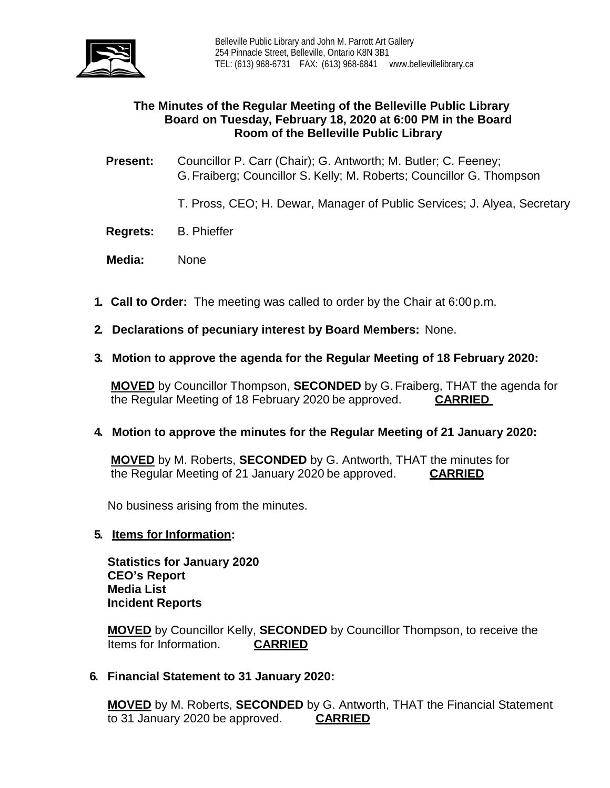

# **The Minutes of the Regular Meeting of the Belleville Public Library Board on Tuesday, February 18, 2020 at 6:00 PM in the Board Room of the Belleville Public Library**

**Present:** Councillor P. Carr (Chair); G. Antworth; M. Butler; C. Feeney; G.Fraiberg; Councillor S. Kelly; M. Roberts; Councillor G. Thompson

- T. Pross, CEO; H. Dewar, Manager of Public Services; J. Alyea, Secretary
- **Regrets:** B. Phieffer
- **Media:** None
- **1. Call to Order:** The meeting was called to order by the Chair at 6:00 p.m.
- **2. Declarations of pecuniary interest by Board Members:** None.
- **3. Motion to approve the agenda for the Regular Meeting of 18 February 2020:**

**MOVED** by Councillor Thompson, **SECONDED** by G.Fraiberg, THAT the agenda for the Regular Meeting of 18 February 2020 be approved. **CARRIED**

# **4. Motion to approve the minutes for the Regular Meeting of 21 January 2020:**

**MOVED** by M. Roberts, **SECONDED** by G. Antworth, THAT the minutes for the Regular Meeting of 21 January 2020 be approved. **CARRIED**

No business arising from the minutes.

#### **5. Items for Information:**

**Statistics for January 2020 CEO's Report Media List Incident Reports**

**MOVED** by Councillor Kelly, **SECONDED** by Councillor Thompson, to receive the Items for Information. **CARRIED** 

**6. Financial Statement to 31 January 2020:**

**MOVED** by M. Roberts, **SECONDED** by G. Antworth, THAT the Financial Statement to 31 January 2020 be approved. **CARRIED**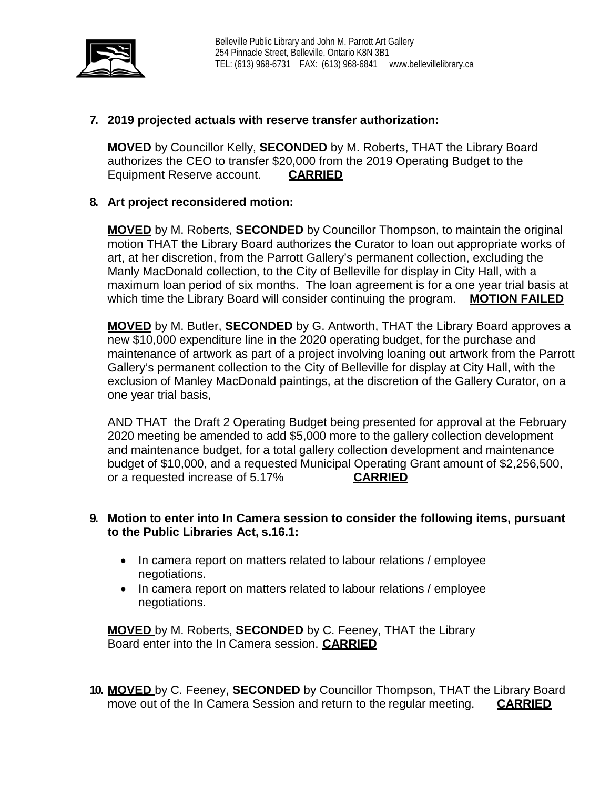

# **7. 2019 projected actuals with reserve transfer authorization:**

**MOVED** by Councillor Kelly, **SECONDED** by M. Roberts, THAT the Library Board authorizes the CEO to transfer \$20,000 from the 2019 Operating Budget to the Equipment Reserve account. **CARRIED**

# **8. Art project reconsidered motion:**

**MOVED** by M. Roberts, **SECONDED** by Councillor Thompson, to maintain the original motion THAT the Library Board authorizes the Curator to loan out appropriate works of art, at her discretion, from the Parrott Gallery's permanent collection, excluding the Manly MacDonald collection, to the City of Belleville for display in City Hall, with a maximum loan period of six months. The loan agreement is for a one year trial basis at which time the Library Board will consider continuing the program. **MOTION FAILED**

**MOVED** by M. Butler, **SECONDED** by G. Antworth, THAT the Library Board approves a new \$10,000 expenditure line in the 2020 operating budget, for the purchase and maintenance of artwork as part of a project involving loaning out artwork from the Parrott Gallery's permanent collection to the City of Belleville for display at City Hall, with the exclusion of Manley MacDonald paintings, at the discretion of the Gallery Curator, on a one year trial basis,

AND THAT the Draft 2 Operating Budget being presented for approval at the February 2020 meeting be amended to add \$5,000 more to the gallery collection development and maintenance budget, for a total gallery collection development and maintenance budget of \$10,000, and a requested Municipal Operating Grant amount of \$2,256,500, or a requested increase of 5.17% **CARRIED**

# **9. Motion to enter into In Camera session to consider the following items, pursuant to the Public Libraries Act, s.16.1:**

- In camera report on matters related to labour relations / employee negotiations.
- In camera report on matters related to labour relations / employee negotiations.

**MOVED** by M. Roberts, **SECONDED** by C. Feeney, THAT the Library Board enter into the In Camera session. **CARRIED**

**10. MOVED** by C. Feeney, **SECONDED** by Councillor Thompson, THAT the Library Board move out of the In Camera Session and return to the regular meeting. **CARRIED**